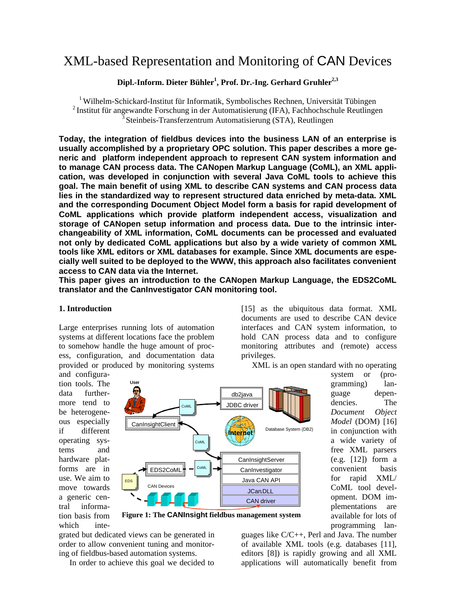# XML-based Representation and Monitoring of CAN Devices

**Dipl.-Inform. Dieter Bühler<sup>1</sup> , Prof. Dr.-Ing. Gerhard Gruhler2,3**

<sup>1</sup> Wilhelm-Schickard-Institut für Informatik, Symbolisches Rechnen, Universität Tübingen <sup>2</sup> Institut für angewandte Forschung in der Automatisierung (IFA), Fachhochschule Reutlingen  $3$  Steinbeis-Transferzentrum Automatisierung (STA), Reutlingen

**Today, the integration of fieldbus devices into the business LAN of an enterprise is usually accomplished by a proprietary OPC solution. This paper describes a more generic and platform independent approach to represent CAN system information and to manage CAN process data. The CANopen Markup Language (CoML), an XML application, was developed in conjunction with several Java CoML tools to achieve this goal. The main benefit of using XML to describe CAN systems and CAN process data lies in the standardized way to represent structured data enriched by meta-data. XML and the corresponding Document Object Model form a basis for rapid development of CoML applications which provide platform independent access, visualization and storage of CANopen setup information and process data. Due to the intrinsic interchangeability of XML information, CoML documents can be processed and evaluated not only by dedicated CoML applications but also by a wide variety of common XML tools like XML editors or XML databases for example. Since XML documents are especially well suited to be deployed to the WWW, this approach also facilitates convenient access to CAN data via the Internet.**

**This paper gives an introduction to the CANopen Markup Language, the EDS2CoML translator and the CanInvestigator CAN monitoring tool.**

#### **1. Introduction**

Large enterprises running lots of automation systems at different locations face the problem to somehow handle the huge amount of process, configuration, and documentation data provided or produced by monitoring systems

and configuration tools. The data furthermore tend to be heterogeneous especially if different operating systems and hardware platforms are in use. We aim to move towards a generic central information basis from which inte-





grated but dedicated views can be generated in order to allow convenient tuning and monitoring of fieldbus-based automation systems.

In order to achieve this goal we decided to

[15] as the ubiquitous data format. XML documents are used to describe CAN device interfaces and CAN system information, to hold CAN process data and to configure monitoring attributes and (remote) access privileges.

XML is an open standard with no operating

system or (programming) language dependencies. The *Document Object Model* (DOM) [16] in conjunction with a wide variety of free XML parsers (e.g. [12]) form a convenient basis for rapid XML/ CoML tool development. DOM implementations are available for lots of programming lan-

guages like C/C++, Perl and Java. The number of available XML tools (e.g. databases [11], editors [8]) is rapidly growing and all XML applications will automatically benefit from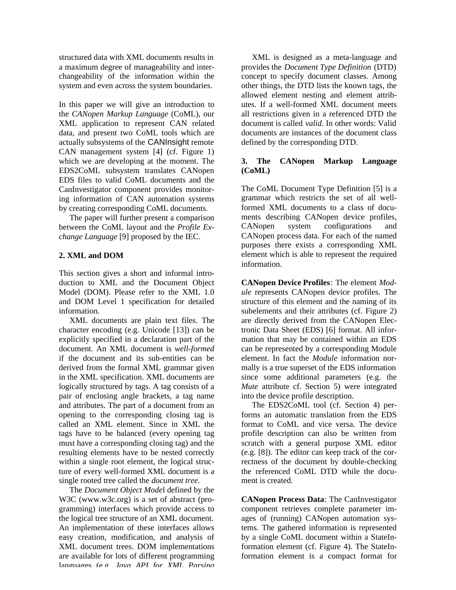structured data with XML documents results in a maximum degree of manageability and interchangeability of the information within the system and even across the system boundaries.

In this paper we will give an introduction to the *CANopen Markup Language* (CoML), our XML application to represent CAN related data, and present two CoML tools which are actually subsystems of the CANInsight remote CAN management system [4] (cf. Figure 1) which we are developing at the moment. The EDS2CoML subsystem translates CANopen EDS files to valid CoML documents and the CanInvestigator component provides monitoring information of CAN automation systems by creating corresponding CoML documents.

The paper will further present a comparison between the CoML layout and the *Profile Exchange Language* [9] proposed by the IEC.

## **2. XML and DOM**

This section gives a short and informal introduction to XML and the Document Object Model (DOM). Please refer to the XML 1.0 and DOM Level 1 specification for detailed information.

XML documents are plain text files. The character encoding (e.g. Unicode [13]) can be explicitly specified in a declaration part of the document. An XML document is *well-formed* if the document and its sub-entities can be derived from the formal XML grammar given in the XML specification. XML documents are logically structured by tags. A tag consists of a pair of enclosing angle brackets, a tag name and attributes. The part of a document from an opening to the corresponding closing tag is called an XML element. Since in XML the tags have to be balanced (every opening tag must have a corresponding closing tag) and the resulting elements have to be nested correctly within a single root element, the logical structure of every well-formed XML document is a single rooted tree called the *document tree*.

The *Document Object Mode*l defined by the W3C (www.w3c.org) is a set of abstract (programming) interfaces which provide access to the logical tree structure of an XML document. An implementation of these interfaces allows easy creation, modification, and analysis of XML document trees. DOM implementations are available for lots of different programming languages (e.g. *Java API for XML Parsing*

XML is designed as a meta-language and provides the *Document Type Definition* (DTD) concept to specify document classes. Among other things, the DTD lists the known tags, the allowed element nesting and element attributes. If a well-formed XML document meets all restrictions given in a referenced DTD the document is called *valid.* In other words: Valid documents are instances of the document class defined by the corresponding DTD.

# **3. The CANopen Markup Language (CoML)**

The CoML Document Type Definition [5] is a grammar which restricts the set of all wellformed XML documents to a class of documents describing CANopen device profiles, CANopen system configurations and CANopen process data. For each of the named purposes there exists a corresponding XML element which is able to represent the required information.

**CANopen Device Profiles**: The element *Module* represents CANopen device profiles. The structure of this element and the naming of its subelements and their attributes (cf. Figure 2) are directly derived from the CANopen Electronic Data Sheet (EDS) [6] format. All information that may be contained within an EDS can be represented by a corresponding Module element. In fact the *Module* information normally is a true superset of the EDS information since some additional parameters (e.g. the *Mute* attribute cf. Section 5) were integrated into the device profile description.

The EDS2CoML tool (cf. Section 4) performs an automatic translation from the EDS format to CoML and vice versa. The device profile description can also be written from scratch with a general purpose XML editor (e.g. [8]). The editor can keep track of the correctness of the document by double-checking the referenced CoML DTD while the document is created.

**CANopen Process Data**: The CanInvestigator component retrieves complete parameter images of (running) CANopen automation systems. The gathered information is represented by a single CoML document within a StateInformation element (cf. Figure 4). The StateInformation element is a compact format for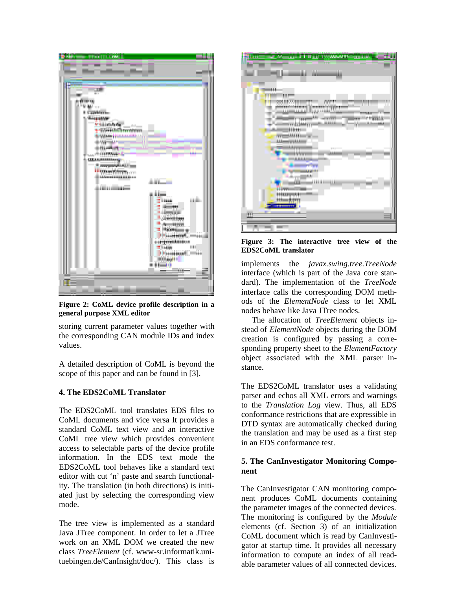

**Figure 2: CoML device profile description in a general purpose XML editor**

storing current parameter values together with the corresponding CAN module IDs and index values.

A detailed description of CoML is beyond the scope of this paper and can be found in [3].

#### **4. The EDS2CoML Translator**

The EDS2CoML tool translates EDS files to CoML documents and vice versa It provides a standard CoML text view and an interactive CoML tree view which provides convenient access to selectable parts of the device profile information. In the EDS text mode the EDS2CoML tool behaves like a standard text editor with cut 'n' paste and search functionality. The translation (in both directions) is initiated just by selecting the corresponding view mode.

The tree view is implemented as a standard Java JTree component. In order to let a JTree work on an XML DOM we created the new class *TreeElement* (cf. www-sr.informatik.unituebingen.de/CanInsight/doc/). This class is



**Figure 3: The interactive tree view of the EDS2CoML translator**

implements the *javax.swing.tree.TreeNode* interface (which is part of the Java core standard). The implementation of the *TreeNode* interface calls the corresponding DOM methods of the *ElementNode* class to let XML nodes behave like Java JTree nodes.

The allocation of *TreeElement* objects instead of *ElementNode* objects during the DOM creation is configured by passing a corresponding property sheet to the *ElementFactory* object associated with the XML parser instance.

The EDS2CoML translator uses a validating parser and echos all XML errors and warnings to the *Translation Log* view. Thus, all EDS conformance restrictions that are expressible in DTD syntax are automatically checked during the translation and may be used as a first step in an EDS conformance test.

## **5. The CanInvestigator Monitoring Component**

The CanInvestigator CAN monitoring component produces CoML documents containing the parameter images of the connected devices. The monitoring is configured by the *Module* elements (cf. Section 3) of an initialization CoML document which is read by CanInvestigator at startup time. It provides all necessary information to compute an index of all readable parameter values of all connected devices.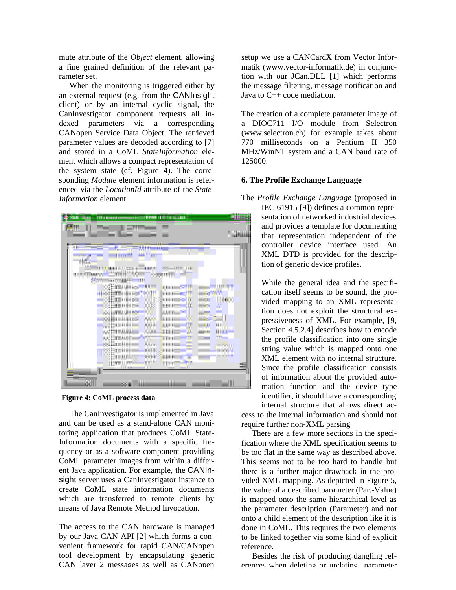mute attribute of the *Object* element, allowing a fine grained definition of the relevant parameter set.

When the monitoring is triggered either by an external request (e.g. from the CANInsight client) or by an internal cyclic signal, the CanInvestigator component requests all indexed parameters via a corresponding CANopen Service Data Object. The retrieved parameter values are decoded according to [7] and stored in a CoML *StateInformation* element which allows a compact representation of the system state (cf. Figure 4). The corresponding *Module* element information is referenced via the *LocationId* attribute of the *State-Information* element.

| 20411                                                                  | <b>Empirishment in the annual control of the control</b>                   | السلاء                                                                 |
|------------------------------------------------------------------------|----------------------------------------------------------------------------|------------------------------------------------------------------------|
| 또!!!                                                                   |                                                                            | амии                                                                   |
|                                                                        |                                                                            |                                                                        |
| щв<br>m.<br>ilim <sup>14</sup><br>$\overline{a}$<br>$1 - 24 - 4$       | MHH<br>ш                                                                   |                                                                        |
| 3888-111<br><b>SERVA</b><br><b>MARTITE</b>                             | <b>JEER INT</b><br>4441111<br>$12223 - 0.0$<br>ಠಾ<br>030011111<br>Ш        |                                                                        |
| <b>JERNALINIES</b><br>sociiimmi illilless<br><b>HERRIO (HORSE)</b>     | ,,,,,,,<br>$\cdots$<br>AHHH≡≥€O                                            | umw<br>中田<br>00000<br><b>Blazz</b>                                     |
| <b>HEMMINING</b><br><b>COLLUMBER UPHERS!</b><br><b>COMMUNISTRATION</b> | cσ<br><b>JUITE</b><br><b>HILLER</b><br>AADO.                               | $     \leq$<br>m<br>┉<br>WE<br>360L                                    |
| , Jižuunidi<br>WITHING                                                 | <b>SOOH!</b><br><b>WHITE</b><br><b>SHILL</b><br><b>JULI</b>                | Ψ<br>188<br>اللابب<br><b>HALLWA</b><br>w,<br>Anaras<br><b>TTI</b><br>m |
| AATEMBAAGE:<br>sociamni (min<br>++-010111111                           | 88<br>TITHI<br><b>J.J.mm</b><br>$1111111 =$<br><b>SALL</b><br><b>HILLE</b> | --<br><b>TERMINE</b><br><b>Little Day 24</b>                           |
| 11.TYPP<br><b>III</b> I444                                             | иине<br>vyski<br><b>ITM</b><br>M                                           | undere in die<br>荆                                                     |
| isan<br>œ                                                              | н                                                                          | ш<br>Ш                                                                 |

**Figure 4: CoML process data**

The CanInvestigator is implemented in Java and can be used as a stand-alone CAN monitoring application that produces CoML State-Information documents with a specific frequency or as a software component providing CoML parameter images from within a different Java application. For example, the CANInsight server uses a CanInvestigator instance to create CoML state information documents which are transferred to remote clients by means of Java Remote Method Invocation.

The access to the CAN hardware is managed by our Java CAN API [2] which forms a convenient framework for rapid CAN/CANopen tool development by encapsulating generic CAN layer 2 messages as well as CANopen

setup we use a CANCardX from Vector Informatik (www.vector-informatik.de) in conjunction with our JCan.DLL [1] which performs the message filtering, message notification and Java to C++ code mediation.

The creation of a complete parameter image of a DIOC711 I/O module from Selectron (www.selectron.ch) for example takes about 770 milliseconds on a Pentium II 350 MHz/WinNT system and a CAN baud rate of 125000.

#### **6. The Profile Exchange Language**

The *Profile Exchange Language* (proposed in IEC 61915 [9]) defines a common representation of networked industrial devices and provides a template for documenting that representation independent of the controller device interface used. An XML DTD is provided for the description of generic device profiles.

> While the general idea and the specification itself seems to be sound, the provided mapping to an XML representation does not exploit the structural expressiveness of XML. For example, [9, Section 4.5.2.4] describes how to encode the profile classification into one single string value which is mapped onto one XML element with no internal structure. Since the profile classification consists of information about the provided automation function and the device type identifier, it should have a corresponding internal structure that allows direct ac-

cess to the internal information and should not require further non-XML parsing

There are a few more sections in the specification where the XML specification seems to be too flat in the same way as described above. This seems not to be too hard to handle but there is a further major drawback in the provided XML mapping. As depicted in Figure 5, the value of a described parameter (Par.-Value) is mapped onto the same hierarchical level as the parameter description (Parameter) and not onto a child element of the description like it is done in CoML. This requires the two elements to be linked together via some kind of explicit reference.

Besides the risk of producing dangling references when deleting or undating parameter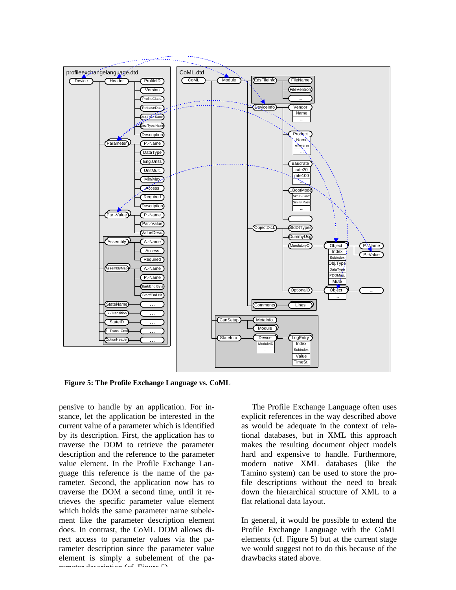

 **Figure 5: The Profile Exchange Language vs. CoML**

pensive to handle by an application. For instance, let the application be interested in the current value of a parameter which is identified by its description. First, the application has to traverse the DOM to retrieve the parameter description and the reference to the parameter value element. In the Profile Exchange Language this reference is the name of the parameter. Second, the application now has to traverse the DOM a second time, until it retrieves the specific parameter value element which holds the same parameter name subelement like the parameter description element does. In contrast, the CoML DOM allows direct access to parameter values via the parameter description since the parameter value element is simply a subelement of the parameter description (cf. Figure 5).

The Profile Exchange Language often uses explicit references in the way described above as would be adequate in the context of relational databases, but in XML this approach makes the resulting document object models hard and expensive to handle. Furthermore, modern native XML databases (like the Tamino system) can be used to store the profile descriptions without the need to break down the hierarchical structure of XML to a flat relational data layout.

In general, it would be possible to extend the Profile Exchange Language with the CoML elements (cf. Figure 5) but at the current stage we would suggest not to do this because of the drawbacks stated above.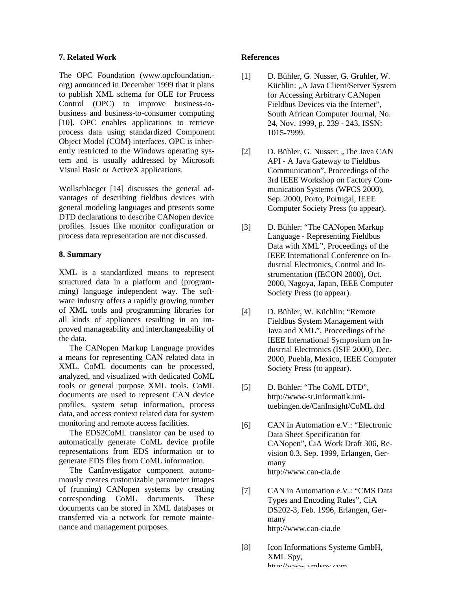## **7. Related Work**

The OPC Foundation (www.opcfoundation. org) announced in December 1999 that it plans to publish XML schema for OLE for Process Control (OPC) to improve business-tobusiness and business-to-consumer computing [10]. OPC enables applications to retrieve process data using standardized Component Object Model (COM) interfaces. OPC is inherently restricted to the Windows operating system and is usually addressed by Microsoft Visual Basic or ActiveX applications.

Wollschlaeger [14] discusses the general advantages of describing fieldbus devices with general modeling languages and presents some DTD declarations to describe CANopen device profiles. Issues like monitor configuration or process data representation are not discussed.

## **8. Summary**

XML is a standardized means to represent structured data in a platform and (programming) language independent way. The software industry offers a rapidly growing number of XML tools and programming libraries for all kinds of appliances resulting in an improved manageability and interchangeability of the data.

The CANopen Markup Language provides a means for representing CAN related data in XML. CoML documents can be processed, analyzed, and visualized with dedicated CoML tools or general purpose XML tools. CoML documents are used to represent CAN device profiles, system setup information, process data, and access context related data for system monitoring and remote access facilities.

The EDS2CoML translator can be used to automatically generate CoML device profile representations from EDS information or to generate EDS files from CoML information.

The CanInvestigator component autonomously creates customizable parameter images of (running) CANopen systems by creating corresponding CoML documents. These documents can be stored in XML databases or transferred via a network for remote maintenance and management purposes.

## **References**

- [1] D. Bühler, G. Nusser, G. Gruhler, W. Küchlin: "A Java Client/Server System for Accessing Arbitrary CANopen Fieldbus Devices via the Internet", South African Computer Journal, No. 24, Nov. 1999, p. 239 - 243, ISSN: 1015-7999.
- [2] D. Bühler, G. Nusser: "The Java CAN API - A Java Gateway to Fieldbus Communication", Proceedings of the 3rd IEEE Workshop on Factory Communication Systems (WFCS 2000), Sep. 2000, Porto, Portugal, IEEE Computer Society Press (to appear).
- [3] D. Bühler: "The CANopen Markup Language - Representing Fieldbus Data with XML", Proceedings of the IEEE International Conference on Industrial Electronics, Control and Instrumentation (IECON 2000), Oct. 2000, Nagoya, Japan, IEEE Computer Society Press (to appear).
- [4] D. Bühler, W. Küchlin: "Remote Fieldbus System Management with Java and XML", Proceedings of the IEEE International Symposium on Industrial Electronics (ISIE 2000), Dec. 2000, Puebla, Mexico, IEEE Computer Society Press (to appear).
- [5] D. Bühler: "The CoML DTD", http://www-sr.informatik.unituebingen.de/CanInsight/CoML.dtd
- [6] CAN in Automation e.V.: "Electronic Data Sheet Specification for CANopen", CiA Work Draft 306, Revision 0.3, Sep. 1999, Erlangen, Germany http://www.can-cia.de
- [7] CAN in Automation e.V.: "CMS Data Types and Encoding Rules", CiA DS202-3, Feb. 1996, Erlangen, Germany http://www.can-cia.de
- [8] Icon Informations Systeme GmbH, XML Spy, http://www.ymleny.com